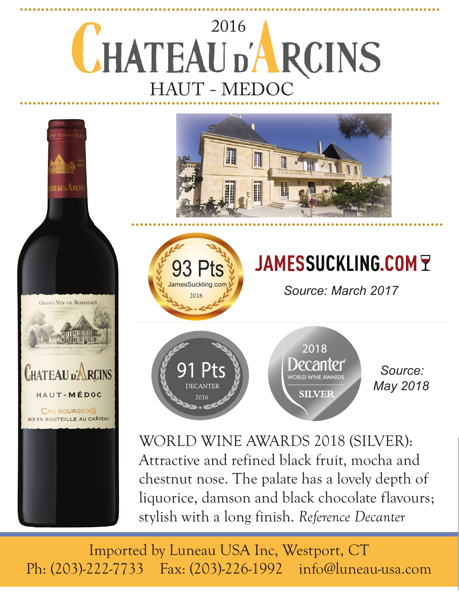



**GRAND VIN DE BORDEAUX** 

**CHATEAU** p'**ARCINS** 

HAUT-MÉDOC

CRU BOURGEOIS MIS EN BOUTEILLE AU CHÂTEAU

# JAMESSUCKLING.COMY

Source: March 2017



2018 poantpr WORLD WINE AWARD: **SILVER** 

 *Source: May 2018*

WORLD WINE AWARDS 2018 (SILVER): Attractive and refined black fruit, mocha and chestnut nose. The palate has a lovely depth of liquorice, damson and black chocolate flavours; stylish with a long finish. *Reference Decanter*

Imported by Luneau USA Inc, Westport, CT Ph: (203)-222-7733 Fax: (203)-226-1992 info@luneau-usa.com